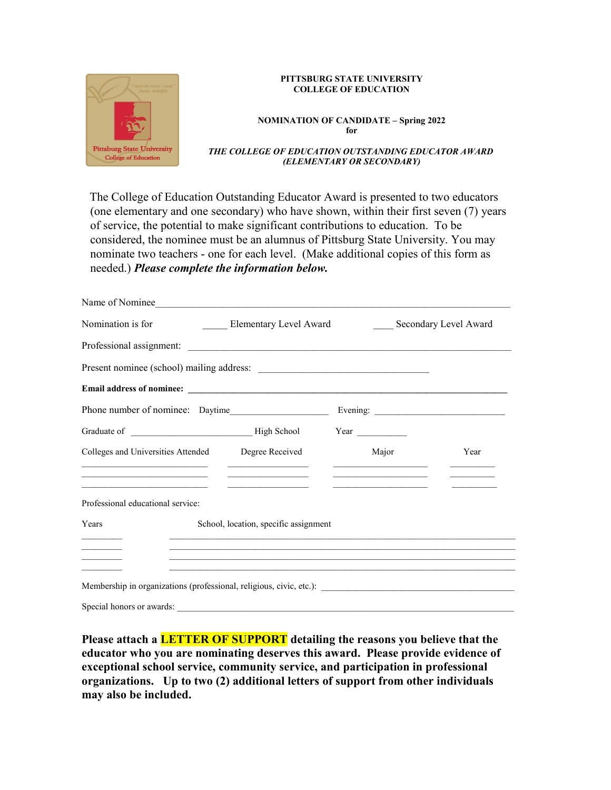

### **PITTSBURG STATE UNIVERSITY COLLEGE OF EDUCATION**

#### **NOMINATION OF CANDIDATE – Spring 2022 for**

#### *THE COLLEGE OF EDUCATION OUTSTANDING EDUCATOR AWARD (ELEMENTARY OR SECONDARY)*

The College of Education Outstanding Educator Award is presented to two educators (one elementary and one secondary) who have shown, within their first seven (7) years of service, the potential to make significant contributions to education. To be considered, the nominee must be an alumnus of Pittsburg State University. You may nominate two teachers - one for each level. (Make additional copies of this form as needed.) *Please complete the information below.*

| Name of Nominee                                                                                                                                                                                                                                                                                                                                                                                             |                                                                                                                      |                                                                                                                                                                                                                                                                                                                             |                       |
|-------------------------------------------------------------------------------------------------------------------------------------------------------------------------------------------------------------------------------------------------------------------------------------------------------------------------------------------------------------------------------------------------------------|----------------------------------------------------------------------------------------------------------------------|-----------------------------------------------------------------------------------------------------------------------------------------------------------------------------------------------------------------------------------------------------------------------------------------------------------------------------|-----------------------|
| Nomination is for                                                                                                                                                                                                                                                                                                                                                                                           | <b>Elementary Level Award</b>                                                                                        |                                                                                                                                                                                                                                                                                                                             | Secondary Level Award |
|                                                                                                                                                                                                                                                                                                                                                                                                             |                                                                                                                      |                                                                                                                                                                                                                                                                                                                             |                       |
|                                                                                                                                                                                                                                                                                                                                                                                                             |                                                                                                                      |                                                                                                                                                                                                                                                                                                                             |                       |
|                                                                                                                                                                                                                                                                                                                                                                                                             |                                                                                                                      |                                                                                                                                                                                                                                                                                                                             |                       |
| Phone number of nominee: Daytime                                                                                                                                                                                                                                                                                                                                                                            |                                                                                                                      |                                                                                                                                                                                                                                                                                                                             |                       |
|                                                                                                                                                                                                                                                                                                                                                                                                             |                                                                                                                      |                                                                                                                                                                                                                                                                                                                             |                       |
| Colleges and Universities Attended Degree Received<br><u> 1989 - Johann Stein, mars an deutscher Stein und der Stein und der Stein und der Stein und der Stein und der</u><br>the control of the control of the control of the control of the control of the control of the control of the control of the control of the control of the control of the control of the control of the control of the control | <u> Alexandria de la contrada de la contrada de la contrada de la contrada de la contrada de la contrada de la c</u> | Major<br><u> 1989 - John Harry Harry Harry Harry Harry Harry Harry Harry Harry Harry Harry Harry Harry Harry Harry Harry Harry Harry Harry Harry Harry Harry Harry Harry Harry Harry Harry Harry Harry Harry Harry Harry Harry Harry Harr</u><br>the control of the control of the control of the control of the control of | Year                  |
| the control of the control of the control of the control of the control of the control of<br>Professional educational service:                                                                                                                                                                                                                                                                              |                                                                                                                      |                                                                                                                                                                                                                                                                                                                             |                       |
| Years                                                                                                                                                                                                                                                                                                                                                                                                       | School, location, specific assignment                                                                                |                                                                                                                                                                                                                                                                                                                             |                       |
|                                                                                                                                                                                                                                                                                                                                                                                                             |                                                                                                                      |                                                                                                                                                                                                                                                                                                                             |                       |
|                                                                                                                                                                                                                                                                                                                                                                                                             |                                                                                                                      | <u>,这就是一个人的人,我们就是一个人的人,我们就是一个人的人,我们就是一个人的人,我们就是一个人的人,我们就是一个人的人,我们就是一个人的人,我们就是</u>                                                                                                                                                                                                                                           |                       |
|                                                                                                                                                                                                                                                                                                                                                                                                             |                                                                                                                      |                                                                                                                                                                                                                                                                                                                             |                       |
| Special honors or awards:                                                                                                                                                                                                                                                                                                                                                                                   |                                                                                                                      |                                                                                                                                                                                                                                                                                                                             |                       |

**Please attach a LETTER OF SUPPORT detailing the reasons you believe that the educator who you are nominating deserves this award. Please provide evidence of exceptional school service, community service, and participation in professional organizations. Up to two (2) additional letters of support from other individuals may also be included.**